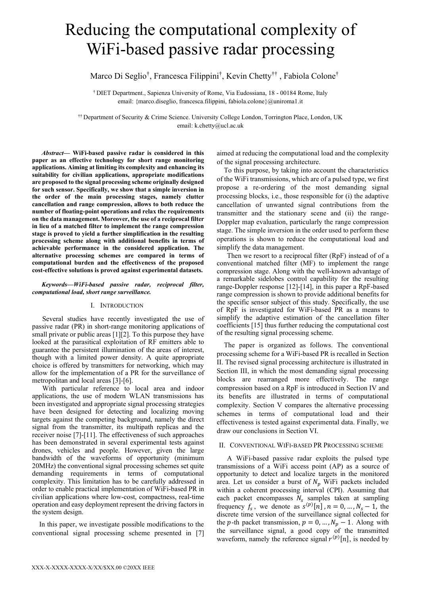# Reducing the computational complexity of WiFi-based passive radar processing

Marco Di Seglio† , Francesca Filippini† , Kevin Chetty†† , Fabiola Colone†

† DIET Department., Sapienza University of Rome, Via Eudossiana, 18 - 00184 Rome, Italy email: {marco.diseglio, francesca.filippini, fabiola.colone}@uniroma1.it

†† Department of Security & Crime Science. University College London, Torrington Place, London, UK email: k.chetty@ucl.ac.uk

*Abstract***— WiFi-based passive radar is considered in this paper as an effective technology for short range monitoring applications. Aiming at limiting its complexity and enhancing its suitability for civilian applications, appropriate modifications are proposed to the signal processing scheme originally designed for such sensor. Specifically, we show that a simple inversion in the order of the main processing stages, namely clutter cancellation and range compression, allows to both reduce the number of floating-point operations and relax the requirements on the data management. Moreover, the use of a reciprocal filter in lieu of a matched filter to implement the range compression stage is proved to yield a further simplification in the resulting processing scheme along with additional benefits in terms of achievable performance in the considered application. The alternative processing schemes are compared in terms of computational burden and the effectiveness of the proposed cost-effective solutions is proved against experimental datasets.**

## *Keywords—WiFi-based passive radar, reciprocal filter, computational load, short range surveillance.*

## I. INTRODUCTION

Several studies have recently investigated the use of passive radar (PR) in short-range monitoring applications of small private or public areas [\[1\]](#page-5-0)[\[2\].](#page-5-1) To this purpose they have looked at the parasitical exploitation of RF emitters able to guarantee the persistent illumination of the areas of interest, though with a limited power density. A quite appropriate choice is offered by transmitters for networking, which may allow for the implementation of a PR for the surveillance of metropolitan and local areas [\[3\]](#page-5-2)[-\[6\].](#page-5-3)

With particular reference to local area and indoor applications, the use of modern WLAN transmissions has been investigated and appropriate signal processing strategies have been designed for detecting and localizing moving targets against the competing background, namely the direct signal from the transmitter, its multipath replicas and the receiver noise [\[7\]](#page-5-4)[-\[11\].](#page-5-5) The effectiveness of such approaches has been demonstrated in several experimental tests against drones, vehicles and people. However, given the large bandwidth of the waveforms of opportunity (minimum 20MHz) the conventional signal processing schemes set quite demanding requirements in terms of computational complexity. This limitation has to be carefully addressed in order to enable practical implementation of WiFi-based PR in civilian applications where low-cost, compactness, real-time operation and easy deployment represent the driving factors in the system design.

In this paper, we investigate possible modifications to the conventional signal processing scheme presented in [\[7\]](#page-5-4) aimed at reducing the computational load and the complexity of the signal processing architecture.

To this purpose, by taking into account the characteristics of the WiFi transmissions, which are of a pulsed type, we first propose a re-ordering of the most demanding signal processing blocks, i.e., those responsible for (i) the adaptive cancellation of unwanted signal contributions from the transmitter and the stationary scene and (ii) the range-Doppler map evaluation, particularly the range compression stage. The simple inversion in the order used to perform these operations is shown to reduce the computational load and simplify the data management.

Then we resort to a reciprocal filter (RpF) instead of of a conventional matched filter (MF) to implement the range compression stage. Along with the well-known advantage of a remarkable sidelobes control capability for the resulting range-Doppler response [\[12\]](#page-5-6)[-\[14\],](#page-5-7) in this paper a RpF-based range compression is shown to provide additional benefits for the specific sensor subject of this study. Specifically, the use of RpF is investigated for WiFi-based PR as a means to simplify the adaptive estimation of the cancellation filter coefficients [\[15\]](#page-5-8) thus further reducing the computational cost of the resulting signal processing scheme.

The paper is organized as follows. The conventional processing scheme for a WiFi-based PR is recalled in Section II. The revised signal processing architecture is illustrated in Section III, in which the most demanding signal processing blocks are rearranged more effectively. The range compression based on a RpF is introduced in Section IV and its benefits are illustrated in terms of computational complexity. Section V compares the alternative processing schemes in terms of computational load and their effectiveness is tested against experimental data. Finally, we draw our conclusions in Section VI.

## <span id="page-0-0"></span>II. CONVENTIONAL WIFI-BASED PR PROCESSING SCHEME

A WiFi-based passive radar exploits the pulsed type transmissions of a WiFi access point (AP) as a source of opportunity to detect and localize targets in the monitored area. Let us consider a burst of  $N_p$  WiFi packets included within a coherent processing interval (CPI). Assuming that each packet encompasses  $N_s$  samples taken at sampling frequency  $f_s$ , we denote as  $s^{(p)}[n]$ ,  $n = 0, ..., N_s - 1$ , the discrete time version of the surveillance signal collected for the p-th packet transmission,  $p = 0, ..., N_p - 1$ . Along with the surveillance signal, a good copy of the transmitted waveform, namely the reference signal  $r^{(p)}[n]$ , is needed by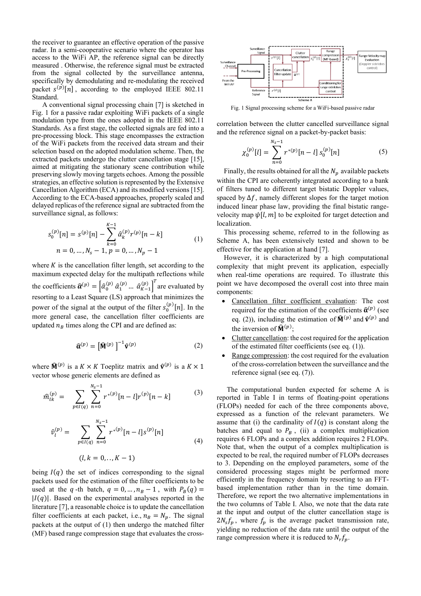the receiver to guarantee an effective operation of the passive radar. In a semi-cooperative scenario where the operator has access to the WiFi AP, the reference signal can be directly measured . Otherwise, the reference signal must be extracted from the signal collected by the surveillance antenna, specifically by demodulating and re-modulating the received packet  $s^{(p)}[n]$ , according to the employed IEEE 802.11 Standard.

A conventional signal processing chain [\[7\]](#page-5-4) is sketched in [Fig. 1](#page-1-0) for a passive radar exploiting WiFi packets of a single modulation type from the ones adopted in the IEEE 802.11 Standards. As a first stage, the collected signals are fed into a pre-processing block. This stage encompasses the extraction of the WiFi packets from the received data stream and their selection based on the adopted modulation scheme. Then, the extracted packets undergo the clutter cancellation stage [\[15\],](#page-5-8) aimed at mitigating the stationary scene contribution while preserving slowly moving targets echoes. Among the possible strategies, an effective solution is represented by the Extensive Cancellation Algorithm (ECA) and its modified versions [\[15\].](#page-5-8) According to the ECA-based approaches, properly scaled and delayed replicas of the reference signal are subtracted from the surveillance signal, as follows:

$$
s_0^{(p)}[n] = s^{(p)}[n] - \sum_{k=0}^{K-1} \hat{\alpha}_k^{(p)} r^{(p)}[n-k]
$$
  
\n
$$
n = 0, ..., N_s - 1, p = 0, ..., N_p - 1
$$
\n(1)

where  $K$  is the cancellation filter length, set according to the maximum expected delay for the multipath reflections while the coefficients  $\hat{\boldsymbol{\alpha}}^{(p)} = \left[\hat{\alpha}_0^{(p)} \hat{\alpha}_1^{(p)} \dots \hat{\alpha}_{K-1}^{(p)}\right]^T$  are evaluated by resorting to a Least Square (LS) approach that minimizes the power of the signal at the output of the filter  $s_0^{(p)}[n]$ . In the more general case, the cancellation filter coefficients are updated  $n_B$  times along the CPI and are defined as:

$$
\widehat{\mathbf{\alpha}}^{(p)} = \left[\widehat{\mathbf{M}}^{(p)}\right]^{-1} \widehat{\mathbf{v}}^{(p)} \tag{2}
$$

where  $\widehat{M}^{(p)}$  is a  $K \times K$  Toeplitz matrix and  $\widehat{v}^{(p)}$  is a  $K \times 1$ vector whose generic elements are defined as

$$
\widehat{m}_{lk}^{(p)} = \sum_{p \in I(q)} \sum_{n=0}^{N_s - 1} r^{*(p)} [n - l] r^{(p)} [n - k] \tag{3}
$$

$$
\hat{v}_l^{(p)} = \sum_{p \in I(q)} \sum_{n=0}^{N_s - 1} r^{*(p)} [n - l] s^{(p)} [n]
$$
\n(4)

$$
(l,k=0,..,K-1)
$$

being  $I(q)$  the set of indices corresponding to the signal packets used for the estimation of the filter coefficients to be used at the q-th batch,  $q = 0, ..., n_B - 1$ , with  $P_B(q) =$  $|I(q)|$ . Based on the experimental analyses reported in the literatur[e \[7\],](#page-5-4) a reasonable choice is to update the cancellation filter coefficients at each packet, i.e.,  $n_B = N_n$ . The signal packets at the output of [\(1\)](#page-1-1) then undergo the matched filter (MF) based range compression stage that evaluates the cross-



<span id="page-1-0"></span>Fig. 1 Signal processing scheme for a WiFi-based passive radar

correlation between the clutter cancelled surveillance signal and the reference signal on a packet-by-packet basis:

<span id="page-1-3"></span>
$$
\chi_0^{(p)}[l] = \sum_{n=0}^{N_s - 1} r^{*(p)}[n - l] \, s_0^{(p)}[n] \tag{5}
$$

Finally, the results obtained for all the  $N_p$  available packets within the CPI are coherently integrated according to a bank of filters tuned to different target bistatic Doppler values, spaced by  $\Delta f$ , namely different slopes for the target motion induced linear phase law, providing the final bistatic rangevelocity map  $\psi[l, m]$  to be exploited for target detection and localization.

<span id="page-1-1"></span>This processing scheme, referred to in the following as Scheme A, has been extensively tested and shown to be effective for the application at hand [\[7\].](#page-5-4)

However, it is characterized by a high computational complexity that might prevent its application, especially when real-time operations are required. To illustrate this point we have decomposed the overall cost into three main components:

- Cancellation filter coefficient evaluation: The cost required for the estimation of the coefficients  $\hat{\alpha}^{(p)}$  (see eq. [\(2\)\)](#page-1-2), including the estimation of  $\widehat{M}^{(p)}$  and  $\widehat{v}^{(p)}$  and the inversion of  $\mathbf{\hat{M}}^{(p)}$ ;
- <span id="page-1-2"></span>• Clutter cancellation: the cost required for the application of the estimated filter coefficients (see eq. [\(1\)\)](#page-1-1).
- Range compression: the cost required for the evaluation of the cross-correlation between the surveillance and the reference signal (see eq. [\(7\)\)](#page-2-0).

<span id="page-1-5"></span><span id="page-1-4"></span>The computational burden expected for scheme A is reported in [Table I](#page-2-1) in terms of floating-point operations (FLOPs) needed for each of the three components above, expressed as a function of the relevant parameters. We assume that (i) the cardinality of  $I(q)$  is constant along the batches and equal to  $P_R$ , (ii) a complex multiplication requires 6 FLOPs and a complex addition requires 2 FLOPs. Note that, when the output of a complex multiplication is expected to be real, the required number of FLOPs decreases to 3. Depending on the employed parameters, some of the considered processing stages might be performed more efficiently in the frequency domain by resorting to an FFTbased implementation rather than in the time domain. Therefore, we report the two alternative implementations in the two columns of [Table I.](#page-2-1) Also, we note that the data rate at the input and output of the clutter cancellation stage is  $2N_s f_p$ , where  $f_p$  is the average packet transmission rate, yielding no reduction of the data rate until the output of the range compression where it is reduced to  $N_r f_n$ .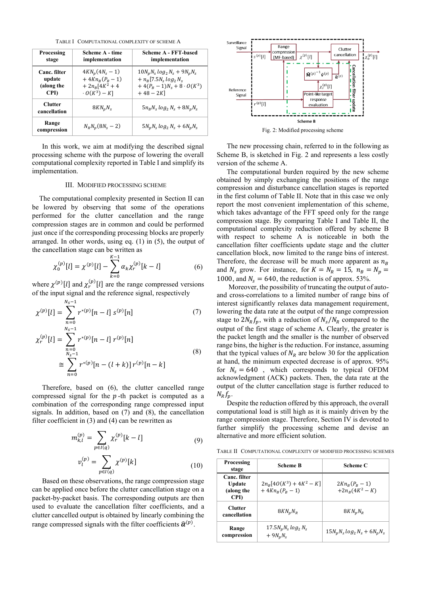TABLE I COMPUTATIONAL COMPLEXITY OF SCHEME A

<span id="page-2-1"></span>

| Processing                     | Scheme A - time                 | Scheme A - FFT-based               |  |
|--------------------------------|---------------------------------|------------------------------------|--|
| stage                          | implementation                  | implementation                     |  |
| Canc. filter                   | $4KN_n(4N_s-1)$                 | $10N_nN_s \log_2 N_s + 9N_nN_s$    |  |
| update                         | + $4Kn_{R}(P_{R}-1)$            | $+ n_{B} [7.5N_{s} log_{2} N_{s}]$ |  |
| (along the                     | $+ 2n_R[4K^2 + 4$               | + $4(P_R - 1)N_s + 8 \cdot O(K^3)$ |  |
| CPI)                           | $\cdot$ O(K <sup>3</sup> ) – K] | $+48-2K$ ]                         |  |
| <b>Clutter</b><br>cancellation | $8KN_nN_s$                      | $5n_BN_s \log_2 N_s + 8N_nN_s$     |  |
| Range<br>compression           | $N_R N_n (8N_s - 2)$            | $5N_pN_s \log_2 N_s + 6N_pN_s$     |  |

In this work, we aim at modifying the described signal processing scheme with the purpose of lowering the overall computational complexity reported in [Table I](#page-2-1) and simplify its implementation.

#### III. MODIFIED PROCESSING SCHEME

The computational complexity presented in Section [II](#page-0-0) can be lowered by observing that some of the operations performed for the clutter cancellation and the range compression stages are in common and could be performed just once if the corresponding processing blocks are properly arranged. In other words, using eq. [\(1\)](#page-1-1) in [\(5\),](#page-1-3) the output of the cancellation stage can be written as

$$
\chi_0^{(p)}[l] = \chi^{(p)}[l] - \sum_{k=0}^{K-1} \alpha_k \chi_r^{(p)}[k-l] \tag{6}
$$

where  $\chi^{(p)}[l]$  and  $\chi_r^{(p)}[l]$  are the range compressed versions of the input signal and the reference signal, respectively

$$
\chi^{(p)}[l] = \sum_{n=0}^{N_s - 1} r^{*(p)}[n - l] s^{(p)}[n]
$$
\n
$$
\chi_r^{(p)}[l] = \sum_{\substack{N_s - 1 \\ N_s - 1}}^{N_s - 1} r^{*(p)}[n - l] r^{(p)}[n]
$$
\n
$$
\approx \sum_{n=0}^{N_s - 1} r^{*(p)}[n - (l + k)] r^{(p)}[n - k]
$$
\n(8)

Therefore, based on [\(6\),](#page-2-2) the clutter cancelled range compressed signal for the  $p$ -th packet is computed as a combination of the corresponding range compressed input signals. In addition, based on [\(7\)](#page-2-0) and [\(8\),](#page-2-3) the cancellation filter coefficient in [\(3\)](#page-1-4) and [\(4\)](#page-1-5) can be rewritten as

$$
m_{k,l}^{(p)} = \sum_{p \in I(q)} \chi_r^{(p)}[k-l] \tag{9}
$$

$$
v_l^{(p)} = \sum_{p \in I(q)} \chi^{(p)}[k] \tag{10}
$$

Based on these observations, the range compression stage can be applied once before the clutter cancellation stage on a packet-by-packet basis. The corresponding outputs are then used to evaluate the cancellation filter coefficients, and a clutter cancelled output is obtained by linearly combining the range compressed signals with the filter coefficients  $\widehat{\boldsymbol{\alpha}}^{\left(p\right)}$ .



<span id="page-2-4"></span>The new processing chain, referred to in the following as Scheme B, is sketched in [Fig. 2](#page-2-4) and represents a less costly version of the scheme A.

The computational burden required by the new scheme obtained by simply exchanging the positions of the range compression and disturbance cancellation stages is reported in the first column of [Table](#page-2-5) II. Note that in this case we only report the most convenient implementation of this scheme, which takes advantage of the FFT speed only for the range compression stage. By comparing [Table I](#page-2-1) and [Table](#page-2-5) II, the computational complexity reduction offered by scheme B with respect to scheme A is noticeable in both the cancellation filter coefficients update stage and the clutter cancellation block, now limited to the range bins of interest. Therefore, the decrease will be much more apparent as  $n_R$ and  $N_s$  grow. For instance, for  $K = N_R = 15$ ,  $n_B = N_p =$ 1000, and  $N_s = 640$ , the reduction is of approx. 53%.

<span id="page-2-2"></span><span id="page-2-0"></span>Moreover, the possibility of truncating the output of autoand cross-correlations to a limited number of range bins of interest significantly relaxes data management requirement, lowering the data rate at the output of the range compression stage to  $2N_R f_p$ , with a reduction of  $N_s / N_R$  compared to the output of the first stage of scheme A. Clearly, the greater is the packet length and the smaller is the number of observed range bins, the higher is the reduction. For instance, assuming that the typical values of  $N_R$  are below 30 for the application at hand, the minimum expected decrease is of approx. 95% for  $N_s = 640$ , which corresponds to typical OFDM acknowledgment (ACK) packets. Then, the data rate at the output of the clutter cancellation stage is further reduced to  $N_R f_n$ .

<span id="page-2-3"></span>Despite the reduction offered by this approach, the overall computational load is still high as it is mainly driven by the range compression stage. Therefore, Section [IV](#page-3-0) is devoted to further simplify the processing scheme and devise an alternative and more efficient solution.

<span id="page-2-5"></span>TABLE II COMPUTATIONAL COMPLEXITY OF MODIFIED PROCESSING SCHEMES

| Processing<br>stage                                 | <b>Scheme B</b>                                   | Scheme C                                |  |
|-----------------------------------------------------|---------------------------------------------------|-----------------------------------------|--|
| Canc. filter<br><b>Update</b><br>(along the<br>CPI) | $2n_R[4O(K^3) + 4K^2 - K]$<br>$+4Kn_{R}(P_{R}-1)$ | $2Kn_{B}(P_{B}-1)$<br>$+2n_R(4K^2 - K)$ |  |
| <b>Clutter</b><br>cancellation                      | $8KN_nN_R$                                        | $8KN_nN_R$                              |  |
| Range<br>compression                                | 17.5 $N_p N_s \log_2 N_s$<br>$+9N_nN_s$           | $15N_nN_s \log_2 N_s + 6N_nN_s$         |  |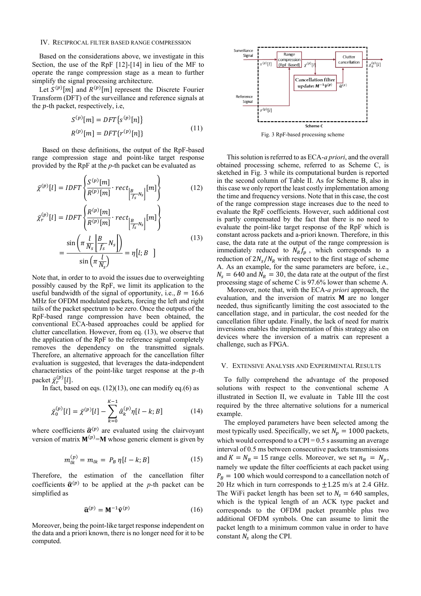#### <span id="page-3-0"></span>IV. RECIPROCAL FILTER BASED RANGE COMPRESSION

Based on the considerations above, we investigate in this Section, the use of the RpF [\[12\]-](#page-5-6)[\[14\]](#page-5-7) in lieu of the MF to operate the range compression stage as a mean to further simplify the signal processing architecture.

Let  $S^{(p)}[m]$  and  $R^{(p)}[m]$  represent the Discrete Fourier Transform (DFT) of the surveillance and reference signals at the  $p$ -th packet, respectively, i.e,

$$
S^{(p)}[m] = DFT\{S^{(p)}[n]\}
$$
  

$$
R^{(p)}[m] = DFT\{r^{(p)}[n]\}
$$
 (11)

Based on these definitions, the output of the RpF-based range compression stage and point-like target response provided by the RpF at the *p*-th packet can be evaluated as

$$
\bar{\chi}^{(p)}[l] = IDFT\left\{\frac{S^{(p)}[m]}{R^{(p)}[m]} \cdot rect_{\left|\frac{B}{f_s}N_s\right|}[m]\right\}
$$
(12)

$$
\bar{\chi}_r^{(p)}[l] = IDFT\left\{\frac{R^{(p)}[m]}{R^{(p)}[m]} \cdot rect_{\left|\frac{B}{f_s}N_s\right|}[m]\right\}
$$
\n
$$
= \frac{\sin\left(\pi \frac{l}{N_s} \left|\frac{B}{f_s} N_s\right|\right)}{\sin\left(\pi \frac{l}{N_s}\right)} = \eta[l; B]
$$
\n(13)

Note that, in order to to avoid the issues due to overweighting possibly caused by the RpF, we limit its application to the useful bandwidth of the signal of opportunity, i.e.,  $B = 16.6$ MHz for OFDM modulated packets, forcing the left and right tails of the packet spectrum to be zero. Once the outputs of the RpF-based range compression have been obtained, the conventional ECA-based approaches could be applied for clutter cancellation. However, from eq. [\(13\)](#page-3-1), we observe that the application of the RpF to the reference signal completely removes the dependency on the transmitted signals. Therefore, an alternative approach for the cancellation filter evaluation is suggested, that leverages the data-independent characteristics of the point-like target response at the  $p$ -th packet  $\bar{\chi}_r^{(p)}[l]$ .

In fact, based on eqs.  $(12)(13)$  $(12)(13)$ , one can modify eq. $(6)$  as

$$
\bar{\chi}_0^{(p)}[l] = \bar{\chi}^{(p)}[l] - \sum_{k=0}^{K-1} \hat{\alpha}_k^{(p)} \eta[l-k; B] \tag{14}
$$

where coefficients  $\hat{\alpha}^{(p)}$  are evaluated using the clairvoyant version of matrix  $M^{(p)}=M$  whose generic element is given by

$$
m_{lk}^{(p)} = m_{lk} = P_B \eta[l - k; B] \tag{15}
$$

Therefore, the estimation of the cancellation filter coefficients  $\hat{\alpha}^{(p)}$  to be applied at the *p*-th packet can be simplified as

$$
\widehat{\mathbf{\alpha}}^{(p)} = \mathbf{M}^{-1} \widehat{\mathbf{v}}^{(p)} \tag{16}
$$

Moreover, being the point-like target response independent on the data and a priori known, there is no longer need for it to be computed.



Fig. 3 RpF-based processing scheme

<span id="page-3-3"></span><span id="page-3-2"></span>This solution is referred to as ECA-*a priori*, and the overall obtained processing scheme, referred to as Scheme C, is sketched in [Fig. 3](#page-3-3) while its computational burden is reported in the second column of [Table](#page-2-5) II. As for Scheme B, also in this case we only report the least costly implementation among the time and frequency versions. Note that in this case, the cost of the range compression stage increases due to the need to evaluate the RpF coefficients. However, such additional cost is partly compensated by the fact that there is no need to evaluate the point-like target response of the RpF which is constant across packets and a-priori known. Therefore, in this case, the data rate at the output of the range compression is immediately reduced to  $N_R f_p$ , which corresponds to a reduction of  $2N_s/N_R$  with respect to the first stage of scheme A. As an example, for the same parameters are before, i.e.,  $N_s = 640$  and  $N_R = 30$ , the data rate at the output of the first processing stage of scheme C is 97.6% lower than scheme A.

<span id="page-3-1"></span>Moreover, note that, with the ECA-*a priori* approach, the evaluation, and the inversion of matrix  $M$  are no longer needed, thus significantly limiting the cost associated to the cancellation stage, and in particular, the cost needed for the cancellation filter update. Finally, the lack of need for matrix inversions enables the implementation of this strategy also on devices where the inversion of a matrix can represent a challenge, such as FPGA.

#### V. EXTENSIVE ANALYSIS AND EXPERIMENTAL RESULTS

To fully comprehend the advantage of the proposed solutions with respect to the conventional scheme A illustrated in Section [II,](#page-0-0) we evaluate in [Table](#page-4-0) III the cost required by the three alternative solutions for a numerical example.

The employed parameters have been selected among the most typically used. Specifically, we set  $N_n = 1000$  packets, which would correspond to a CPI =  $0.5$  s assuming an average interval of 0.5 ms between consecutive packets transmissions and  $K = N_R = 15$  range cells. Moreover, we set  $n_B = N_p$ , namely we update the filter coefficients at each packet using  $P_B = 100$  which would correspond to a cancellation notch of 20 Hz which in turn corresponds to  $\pm 1.25$  m/s at 2.4 GHz. The WiFi packet length has been set to  $N_s = 640$  samples, which is the typical length of an ACK type packet and corresponds to the OFDM packet preamble plus two additional OFDM symbols. One can assume to limit the packet length to a minimum common value in order to have constant  $N_s$  along the CPI.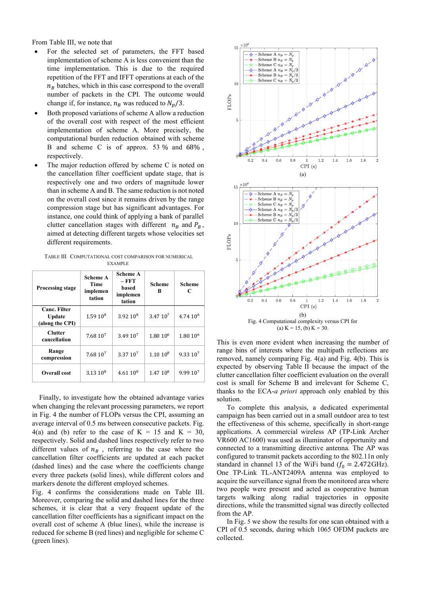From [Table](#page-4-0) III, we note that

- For the selected set of parameters, the FFT based implementation of scheme A is less convenient than the time implementation. This is due to the required repetition of the FFT and IFFT operations at each of the  $n_B$  batches, which in this case correspond to the overall number of packets in the CPI. The outcome would change if, for instance,  $n_B$  was reduced to  $N_p/3$ .
- Both proposed variations of scheme A allow a reduction of the overall cost with respect of the most efficient implementation of scheme A. More precisely, the computational burden reduction obtained with scheme B and scheme C is of approx. 53 % and 68% , respectively.
- The major reduction offered by scheme  $C$  is noted on the cancellation filter coefficient update stage, that is respectively one and two orders of magnitude lower than in scheme A and B. The same reduction is not noted on the overall cost since it remains driven by the range compression stage but has significant advantages. For instance, one could think of applying a bank of parallel clutter cancellation stages with different  $n_B$  and  $P_B$ , aimed at detecting different targets whose velocities set different requirements.

<span id="page-4-0"></span>TABLE III COMPUTATIONAL COST COMPARISON FOR NUMERICAL EXAMPLE

| <b>Processing stage</b>                                 | <b>Scheme A</b><br>Time<br>implemen<br>tation | <b>Scheme A</b><br>$-$ FFT<br>based<br>implemen<br>tation | <b>Scheme</b><br>R   | <b>Scheme</b><br>C   |
|---------------------------------------------------------|-----------------------------------------------|-----------------------------------------------------------|----------------------|----------------------|
| <b>Canc. Filter</b><br><b>Update</b><br>(along the CPI) | $1.5910^8$                                    | $3.9210^8$                                                | 3.47 10 <sup>7</sup> | 4.74 10 <sup>6</sup> |
| <b>Clutter</b><br>cancellation                          | 7.68 10 <sup>7</sup>                          | 3.49 10 <sup>7</sup>                                      | 1.80 10 <sup>6</sup> | 1.80 10 <sup>6</sup> |
| Range<br>compression                                    | 7.68 10 <sup>7</sup>                          | 3.37 10 <sup>7</sup>                                      | $1.1010^{8}$         | 9.33 10 <sup>7</sup> |
| <b>Overall cost</b>                                     | $3.1310^{8}$                                  | $4.6110^{8}$                                              | 1.47 10 <sup>8</sup> | 9.99 10 <sup>7</sup> |

Finally, to investigate how the obtained advantage varies when changing the relevant processing parameters, we report in [Fig. 4](#page-4-1) the number of FLOPs versus the CPI, assuming an average interval of 0.5 ms between consecutive packets. [Fig.](#page-4-1)  [4\(](#page-4-1)a) and (b) refer to the case of  $K = 15$  and  $K = 30$ , respectively. Solid and dashed lines respectively refer to two different values of  $n_B$ , referring to the case where the cancellation filter coefficients are updated at each packet (dashed lines) and the case where the coefficients change every three packets (solid lines), while different colors and markers denote the different employed schemes.

[Fig. 4](#page-4-1) confirms the considerations made on [Table](#page-4-0) III. Moreover, comparing the solid and dashed lines for the three schemes, it is clear that a very frequent update of the cancellation filter coefficients has a significant impact on the overall cost of scheme A (blue lines), while the increase is reduced for scheme B (red lines) and negligible for scheme C (green lines).



(a)  $K = 15$ , (b)  $K = 30$ .

<span id="page-4-1"></span>This is even more evident when increasing the number of range bins of interests where the multipath reflections are removed, namely comparing [Fig. 4\(](#page-4-1)a) and [Fig. 4\(](#page-4-1)b). This is expected by observing [Table](#page-2-5) II because the impact of the clutter cancellation filter coefficient evaluation on the overall cost is small for Scheme B and irrelevant for Scheme C, thanks to the ECA-*a priori* approach only enabled by this solution.

To complete this analysis, a dedicated experimental campaign has been carried out in a small outdoor area to test the effectiveness of this scheme, specifically in short-range applications. A commercial wireless AP (TP-Link Archer VR600 AC1600) was used as illuminator of opportunity and connected to a transmitting directive antenna. The AP was configured to transmit packets according to the 802.11n only standard in channel 13 of the WiFi band  $(f_0 = 2.472 \text{GHz})$ . One TP-Link TL-ANT2409A antenna was employed to acquire the surveillance signal from the monitored area where two people were present and acted as cooperative human targets walking along radial trajectories in opposite directions, while the transmitted signal was directly collected from the AP.

I[n Fig.](#page-5-9) [5](#page-5-9) we show the results for one scan obtained with a CPI of 0.5 seconds, during which 1065 OFDM packets are collected.